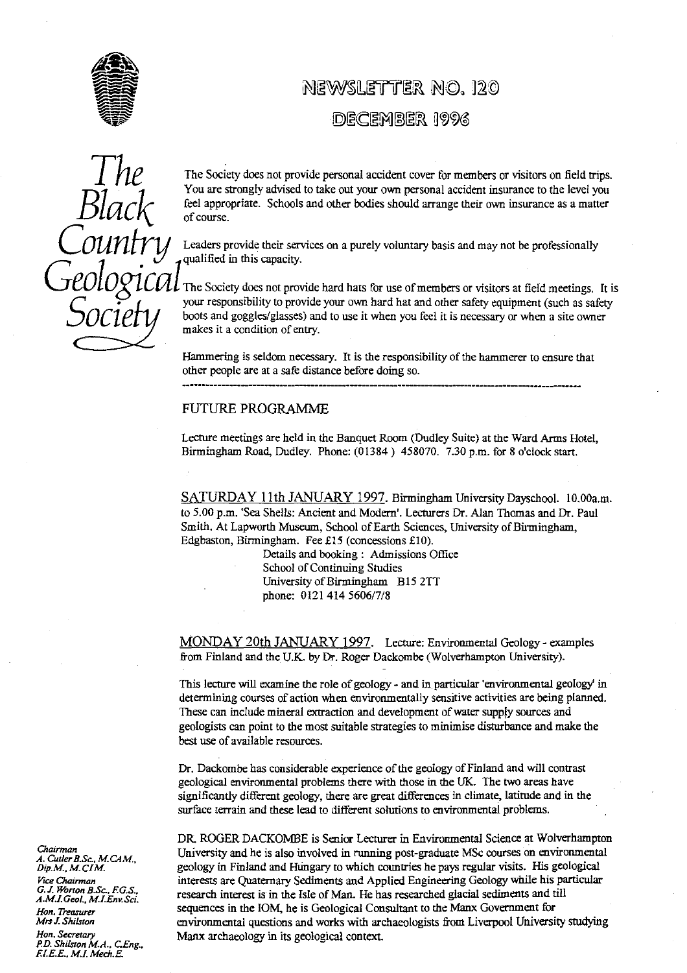

# NEWSLETTER NO. 120

## DECEMBER 1996

Punch *Court*  $\mathcal{Y}$  $\cup$ .<br>.

The The Socie**ty** does not provide personal accident cover for members or visitors on field trips. You are strongly advised to take out your own personal accident insurance to the level you feel appropriate. Schools and other bodies should arrange their own insurance as a ma**tt**er of course.

Leaders provide their services on a purely voluntary basis and may not be professionally qualified in this capacity.

The Society does not provide hard hats for use of members or visitors at field meetings. It is your responsibility to provide your own hard hat and other safety equipment (such as safety boots and goggles/glasses) and to use it when you feel it is necessary or when a site owner makes it a condition of entry.

Hammering is seldom necessary. It is the responsibility of the hammerer to ensure that other people are at a safe distance before doing so.

#### FUTURE PROGRAMME

Lecture meetings are held in the Banquet Room (Dudley Suite) at the Ward Arms Hotel, Birmingham Road, Dudley. Phone: (01384) 458070. 7.30 p.m. for 8 o'clock start.

SATURDAY 11th JANUARY 1997. Birmingham University Dayschool. I0.00a.m. to 5.00 p.m. 'Sea Shells: Ancient and Modern'. Lecturers Dr. Alan Thomas and Dr. Paul Smith. At Lapworth Museum, School of Earth Sciences, Universi**ty** of Birmingham, Edgbaston, Birmingham. Fee £15 (concessions £10).

> Details and booking: Admissions Office School of Continuing Studies University of Birmingham **B15** 2TT phone: 0121 414 5606/7/8

MONDAY 20th JANUARY 1997 . Lecture: Environmental Geology- examples from Finland and the U.K. by Dr. Roger Dackombe (Wolverhampton University).

This lecture will examine the role of geology - and in particular 'environmental geology in determining courses of action when environmentally sensitive activities are being planned. These can include mineral extraction and development of water supply sources and geologists can point to the most suitable strategies to minimise disturbance and make the best use of available resources.

Dr. Dackombe has considerable experience of the geology of Finland and will contrast geological environmental problems there with those in the UK. The two areas have significantly different geology, there are great differences in climate, latitude and in the surface terrain and these lead to different solutions to environmental problems.

DR. ROGER DACKOMBE is Senior Lecturer in Environmental Science at Wolverhampton University and he is also involved in running post-graduate MSc courses on environmental geology in Finland and Hungary to which countries he pays regular visits. His geological *Vice Chairman* interests are Quaternary Sediments and Applied Engineering Geology while his particular research interest is is the Isle of Man. He has researched glacial sediments and till *A.M.f. GeoL. M.f.Env.Sci. Hon. Treasurer* sequences in the IOM, he is Geological Consultant to the Manx Government for<br>*Mrs J. Shilston* environmental questions and works with archaeologists from Liverpool Universi *Mrs J. Shilston* environmental questions and works with archaeologists from Liverpool University studying<br>Hon Secretary **Hone Manx** archaeology in its geological context. Manx archaeology in its geological context.

*A. C* A. Cutler B.Sc., M.CAM.,<br>Dip.M., M.CIM. *G.J. Worton B.Sc.. F.G.S.,*

*P.D. Shilston M.A., CEng., E1.E.E.. M.1. Mech.E.*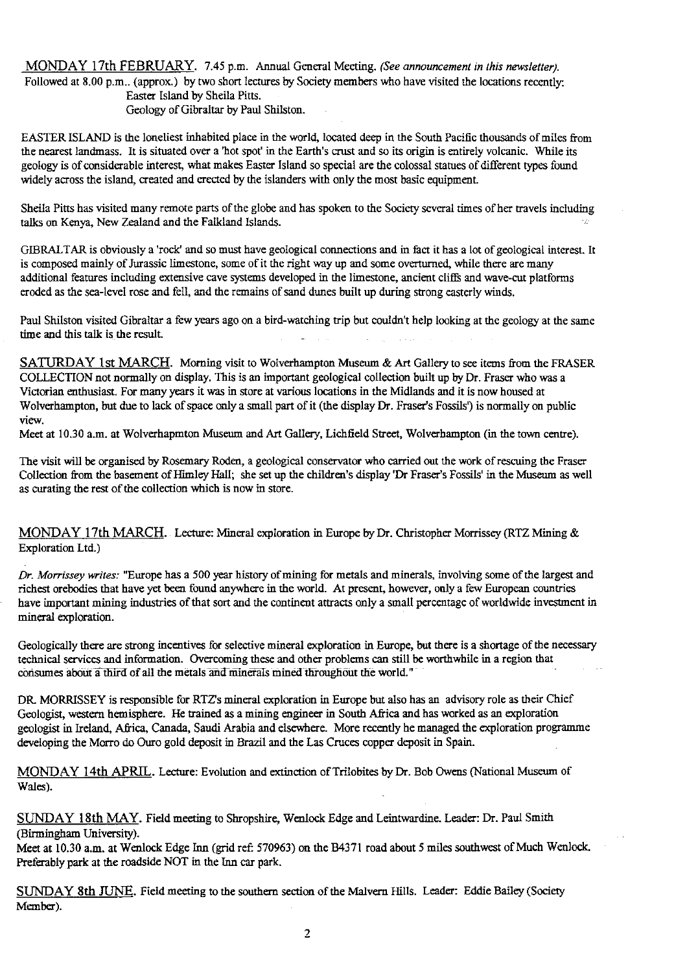MONDAY 17th FEBRUARY. 7.45 p.m. Annual General Meeting. *(See announcement in this newsletter).* Followed at 8.00 p.m.. (approx.) by two short lectures by Society members who have visited the locations recently: Easter Island by Sheila Pitts. Geology of Gibraltar by Paul Shilston.

EASTER ISLAND is the loneliest inhabited place in the world, located deep in the South Pacific thousands of miles from the nearest landmass. It is situated over a 'hot spot' in the Earth's crust and so its origin is entirely volcanic. While its geology is of considerable interest, what makes Easter Island so special are the colossal statues of different types found widely across the island, created and erected by the islanders with only the most basic equipment.

Sheila Pi**tt**s has visited many remote parts of the glo**be** and has spoken to the Society several times of her travels including talks on Kenya, New Zealand and the Falkland Islands.

GIBRALTAR is obviously a 'rock' and so must have geological connections and in fact it has a lot of geological interest. It is composed mainly of Jurassic limestone, some of it the right way up and some overturned, while there are *many* additional features including extensive cave systems developed in the limestone, ancient cliffs and wave-cut platforms eroded as the sea-level rose and fell, and the remains of sand dunes built up during strong easterly winds.

Paul ShiIston visited Gibraltar a few years ago on a bird-watching trip but couldn't help looking at the geology at the same time and this talk is the result.

SATURDAY 1st MARCH. Morning visit to Wolverhampton Museum & Art Gallery to see items from the FRASER COLLECTION not normally on display. This is an important geological collection built up by Dr. Fraser who was a Victorian enthusiast. For many years it was in store at various locations in the Midlands and it is now housed at Wolverhampton, but due to lack of space only a small part of it (the display Dr. Fraser's Fossils') is normally on public view.

Meet at 10.30 a.m. at Wolverhapmton Museum and Art Gallery, Lichfield Street, Wolverhampton (in the town centre).

The visit wi**ll** be organised by Rosema**ry** Roden, a geological conse**rv**ator who car**ri**ed out the work of rescuing the Fraser Collection from the basement of Himley Hall, she set up the children's **display 'Dr** Fraser's Fossils' in the Museum as well as curating the rest of the collection which is now in store.

MONDAY 17th MARCH . Lecture: Mineral exploration in Europe by Dr. Christopher Morrissey **(RTZ** Mining & Exploration Ltd\_)

*Dr. Morrissey writes:* "Europe has a 500 year history of mining for metals and minerals, involving some of the largest and richest orebodies that have yet been found anywhere in the world. At present, however, only a few European countries have important mining industries of that so**rt** and the continent attracts only a small percentage of worldwide investment in mineral exploration.

Geologically there are strong incentives for selective mineral exploration in Europe, but there is a shortage of the necessary technical services and information. Overcoming these and other problems can still be worthwhile in a region that consumes about a third of all the metals and minerals mined throughout the world."

DR. MORRISSEY is responsible for RTZ's mineral exploration in Europe but also has an advisory role as their Chief Geologist, western hemisphere. He trained as a mining engineer in South Africa and has worked as an exploration geologist in Ireland, Africa, Canada, Saudi Arabia and elsewhere. More recently he managed the exploration programme developing the Morro do Ouro gold deposit in Brazil and the Las Cruces copper deposit in Spain.

MONDAY 14th APRIL. Lecture: Evolution and extinction of Trilobites by Dr. Bob Owens (National Museum of Wales).

SUNDAY 18th MAY. Field meeting to Shropshire, WenIock Edge and Leintwardine. Leader: Dr. Paul Smith (Birmingham University).

Meet at 10.30 a.m. at Wenlock Edge Inn (grid ref: 570963) on the B4371 road about 5 miles southwest of Much Wenlock. Preferably park at the roadside NOT in the Inn car park.

SUNDAY 8th JUNE. Field meeting to the southern section of the Malvern Hills. Leader: Eddie Bailey (Society Member).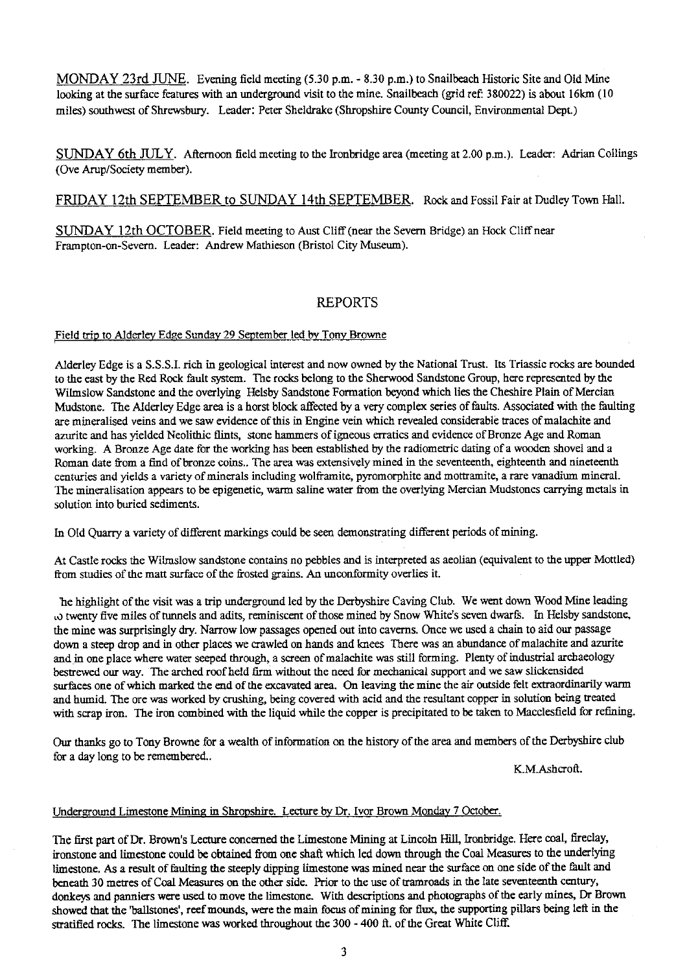MONDAY 23rd JUNE. Evening field meeting (5.30 p.m. - 8.30 p.m.) to Snailbeach Historic Site and Old Mine looking at the surface features with an underground visit to the mine. Snailbeach (grid ref: 380022) is about 16km (10 miles) southwest of Shrewsbury. Leader: Peter Sheidrake (Shropshire County Council, Environmental Dept.)

SUNDAY 6th JULY. Afternoon field meeting to the Ironbridge area (meeting at 2.00 p.m.). Leader: Adrian Collings (Ove Arup/Society member).

FRIDAY 12th SEPTEMBER to SUNDAY 14th SEPTEMBER. Rock and Fossil Fair at Dudley Town Hall.

SUNDAY 12th OCTOBER. Field meeting to Aust Cliff (near the Severn Bridge) an Hock Cliff near Frampton-on-Severn. Leader: Andrew Mathieson (Bristol City Museum).

### REPORTS

# Field trip to Alderley Edge Sunday 29 September led by Tony Browne

Alderley Edge is a S.S.S.I. rich in geological interest and now owned by the National Trust. Its Triassic rocks are bounded to the east by the Red Rock fault system. The rocks belong to the Sherwood Sandstone Group, here represented by the Wilmslow Sandstone and the overlying Helsby Sandstone Formation beyond which lies the Cheshire Plain of Mercian Mudstone. The Alderley Edge area is a horst block affected by a very complex series of faults. Associated with the faulting are mineralised veins and we saw evidence of this in Engine vein which revealed considerable traces of malachite and azurite and has yielded Neolithic flints, stone hammers of igneous erratics and evidence of Bronze Age and Roman working. A Bronze Age date for the working has been established by the radiometric dating of a wooden shovel and a Roman date from a find of bronze coins.. The area was extensively mined in the seventeenth, eighteenth and nineteenth centuries and yields a variety of minerals including wolframite, pyromorphite and mottramite, a rare vanadium mineral. The mineralisation appears to be epigenetic, warm saline water from the overlying Mercian Mudstones carrying metals in solution into buried sediments.

In OId Quarry a variety of dif<sup>f</sup> erent markings could be seen demonstrating different periods of mining.

At Castle rocks the Wilmslow sandstone contains no pebbles and is interpreted as aeolian (equivalent to the upper Mottled) from studies of the matt surface of the frosted grains\_ An unconformity overlies it.

'he highlight of the visit was a trip underground led by the Derbyshire Caving Club. We went down Wood Mine leading ,o twenty five miles of tunnels and adits, reminiscent of those mined by Snow White's seven dwarfs. In Helsby sandstone, the mine was surprisingly dry. Narrow low passages opened out into caverns. Once we used a chain to aid our passage down a steep drop and in other places we crawled on hands and knees There was an abundance of malachite and azurite and in one place where water seeped through, a screen of malachite was still forming. Plenty of industrial archaeology bestrewed our way. The arched roof held farm without the need for mechanical support and we saw slickensided surfaces one of which marked the end of the excavated area. On leaving the mine the air outside felt extraordinarily warm and humid. The ore was worked by crushing, being covered with acid and the resultant copper in solution being treated with scrap iron. The iron combined with the liquid while the copper is precipitated to be taken to Macclesfield for refining.

Our thanks go to Tony Browne for a wealth of information on the history of the area and members of the Derbyshire club for a day long to be remembered..

K.M.Ashcroft.

# Underground Limestone Mining in Shropshire. Lecture by Dr. Ivor Brown Monday 7 October.

The first part of Dr. Brown's Lecture concerned the Limestone Mining at Lincoln Hill, Ironbridge. Here coal, fireclay, ironstone and Iimestone could be obtained from one shaft which led down through the Coal Measures to the underlying limestone. As a result of faulting the steeply dipping limestone was mined near the surface on one side of the fault and beneath 30 metres of Coal Measures on the other side. Prior to the use of tramroads in the late seventeenth century, donkeys and panniers were used to move the limestone. With descriptions and photographs of the early mines, Dr Brown showed that the 'ballstones', reef mounds, were the main focus of mining for flux, the supporting pillars being left in the stratified rocks. The limestone was worked throughout the 300 - 400 ft. of the Great White Cliff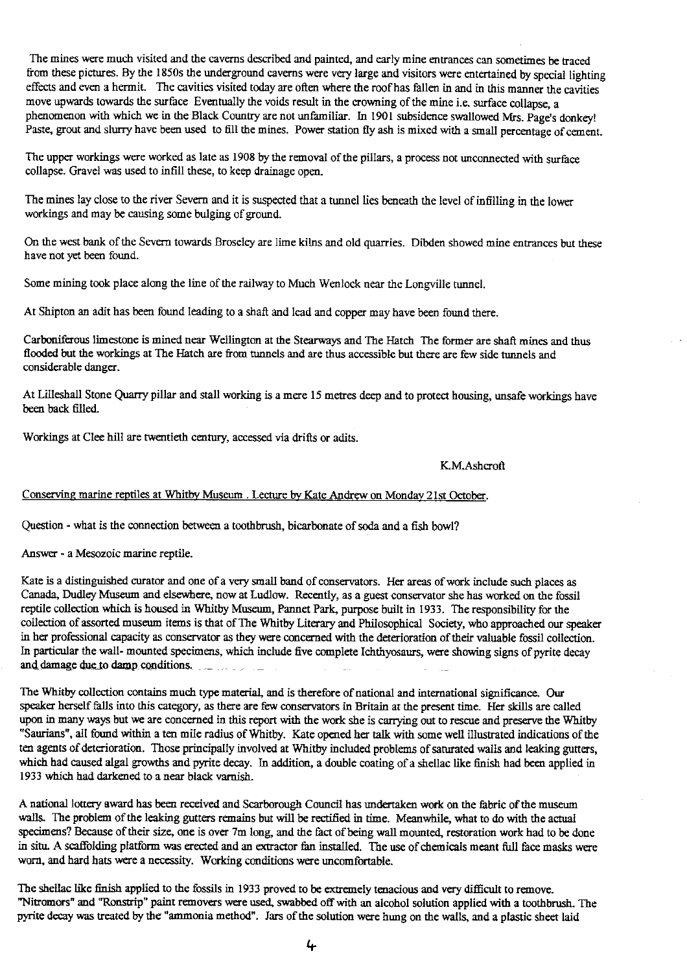The mines were much visited and the caverns described and painted, and early mine entrances can sometimes be traced from these pictures. By the 1850s the underground caverns were very large and visitors were entertained by special lighting effects and even a hermit. The cavities visited today are often where the roof has fallen in and in this manner the cavities move upwards towards the surface Eventually the voids result in the crowning of the mine i.e. surface collapse, a phenomenon with which we in the Black Country are not unfamiliar. In 1901 subsidence swallowed Mrs. Page's donkey! Paste, grout and slurry have been used to fill the mines. Power station fly ash is mixed with a small percentage of cement.

The upper workings were worked as late as 1908 by the removal of the pillars, a process not unconnected with surface collapse. Gravel was used to infill these, to keep drainage open.

The mines lay close to the river Severn and it is suspected that a tunnel lies beneath the level of infilling in the lower workings and may be causing some bulging of ground.

On the west bank of the Severn towards Broseley are lime kilns and old quarries. Dibden showed mine entrances but these have not yet been found.

Some mining took place along the line of the railway to Much Wenlock near the Longville tunnel.

At Shipton an adit has been found leading to a shaft and lead and copper may have been found there.

Carboniferous limestone is mined near Wellington at the Stearways and The Hatch The former are shaft mines and thus flooded but the workings at The Hatch are from tunnels and are thus accessible but there are few side tunnels and considerable danger.

At Lilleshall Stone Quarry pillar and stall working is a mere 15 metres deep and to protect housing, unsafe workings have been back filled.

Workings at Clee hill are twentieth century, accessed via drifts or adits.

#### K.M.Ashcroft

# Conserving marine reptiles at Whitby Museum . Lecture by Kate Andrew on Monday 21st October

Question - what is the connection between a toothbrush, bicarbonate of soda and a fish bowl?

Answer - a Mesozoic marine reptile.

Kate is a distinguished curator and one of a very small band of conservators. Her areas of work include such places as Canada, Dudley Museum and elsewhere, now at Ludlow. Recently, as a guest conservator she has worked on the fossil reptile collection which is housed in Whitby Museum, Pannet Park, purpose built in 1933. The responsibility for the collection of assorted museum items is that of The Whitby Literary and Philosophical Society, who approached our speaker in her professional capacity as conservator as they were concerned with the deterioration of their valuable fossil collection. In particular the wall- mounted specimens, which include five complete Ichthyosaurs, were showing signs of pyrite decay and damage due to damp conditions,

The Whitby collection contains much type material, and is therefore of national and international significance. Our speaker herself falls into this category, as there are few conservators in Britain at the present time. Her skills are called upon in many ways but we are concerned in this report with the work she is carrying out to rescue and preserve the Whitby "Saurians", all found within a ten mile radius of Whitby. Kate opened her talk with some well illustrated indications of the ten agents of deterioration. Those principally involved at Whitby included problems of saturated walls and leaking gutters, which had caused algal growths and pyrite decay. In addition, a double coating of a shellac like finish had been applied in 1933 which had darkened to a near black varnish.

A national lottery award has been received and Scarborough Council has undertaken work on the fabric of the museum walls. The problem of the leaking gutters remains but will be rectified in time. Meanwhile, what to do with the actual specimens? Because of their size, one is over 7m long, and the fact of being wall mounted, restoration work had to be done in situ. A scaffolding platform was erected and an extractor fan installed. The use of chemicals meant full face masks were worn, and hard hats were a necessity. Working conditions were uncomfortable.

The shellac like finish applied to the fossils in 1933 proved to be extremely tenacious and very difficult to remove. "Nitromors" and "Ronstrip" paint removers were used, swabbed off with an alcohol solution applied with a toothbrush. The pyrite decay was treated by the "ammonia method". Jars of the solution were hung on the walls, and a plastic sheet laid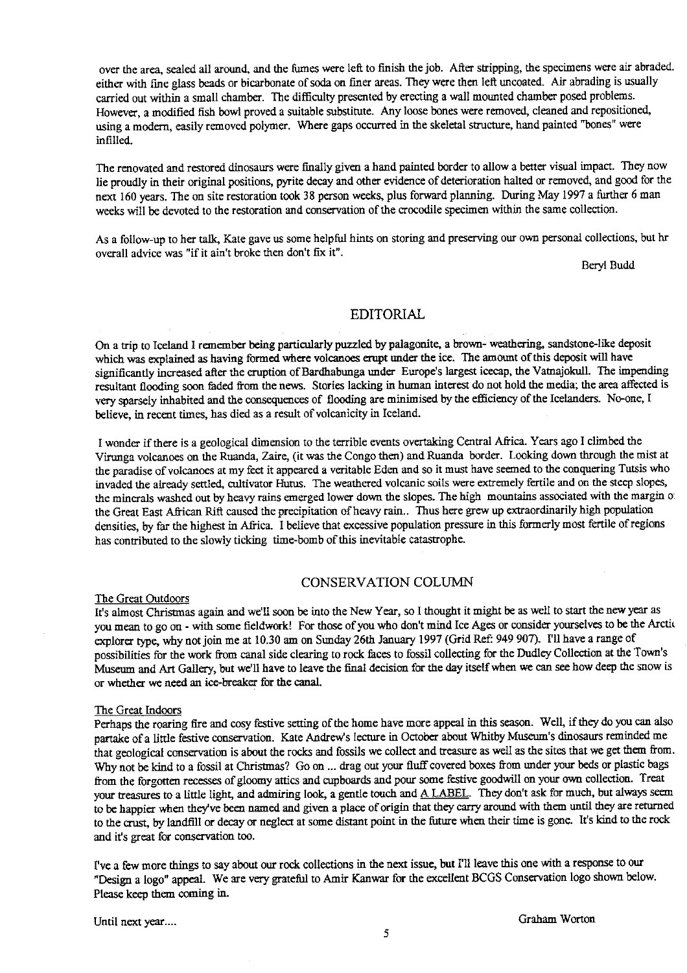over the area, sealed all around, and the fumes were left to finish the job. After stripping, the specimens were air abraded. either with fine glass beads or bicarbonate of soda on finer areas. They were then left uncoated. Air abrading is usually carried out within a small chamber. The difficulty presented by erecting a wall mounted chamber posed problems. However, a modified fish bowl proved a suitable substitute. Any loose bones were removed, cleaned and repositioned, using a modern, easily removed polymer. Where gaps occurred in the skeletal structure, hand painted "bones" were infilled.

The renovated and restored dinosaurs were finally given a hand painted border to allow a better visual impact. They now lie proudly in their original positions, pyrite decay and other evidence of deterioration halted or removed, and good for the next 160 years. The on site restoration took 38 person weeks, plus forward planning. During May 1997 a fu**rt**her 6 man weeks will **be** devoted to the restoration and conservation of the crocodile specimen within the same collection.

As a **follow-up** to her talk, Kate gave us some helpful hints on storing and preserving our own personal collections, but hr overall advice was "if it ain't broke then don't fix it".

Be**ry**l Budd

#### EDITORIAL

On a trip to Iceland I remember being particularly puzzled by palagonite, a brown- weathering, sandstone-like deposit which was explained as having formed where volcanoes erupt under the ice. The amount of this deposit will have significantly increased after the eruption of Bardhabunga under Europe's largest icecap, the Vainajokull. The impending resultant flooding soon faded from the news. Stories lacking in human interest do not hold the media; the area affected is very sparsely inhabited and the consequences of flooding are minimised by the efficiency of the Icelanders. No-one, I believe, in recent times, has died as a result of volc**an**icity in Iceland.

I wonder if there is a geological dimension to the terrible events overtaking Central A **fr**ica. Years ago I climbed the Virunga volcanoes on the Ruanda, Zaire, (it was the Congo then) and Ruanda border. Looking down through the mist at the paradise of volcanoes at my feet it appeared a veritable Eden and so it must have seemed to the conquering Tutsis who invaded the already settled, cultivator Hutus. The weathered volcanic soils were extremely fertile and on the steep slopes, the minerals washed out by heavy rains emerged lower down the slopes. The high mountains associated with the margin o. the Great **East** African Rift caused the precipitation of heavy rain.. Thus here grew up extraordinarily high population densities, by far the highest in Africa. I believe that excessive population pressure in this formerly most fertile of regions has contributed to the slowly ticking **time-bomb** of this inevitable catastrophe.

#### CONSERVATION COLUMN

#### The Great Outdoors

It's almost Christmas again and we'll soon be into the New Year, so I thought it might be as well to start the new year as you mean to go on - with some fieldwork! For those of you who don't mind Ice Ages or consider yourselves to **be** the Arctic explorer type, why not join me at 10.30 am on Sunday 26th January 1997 (Grid Ref: 949 907). I'll have a range of possibilities for the work from canal side clearing to rock faces to fossil collecting for the Dudley Collection at the Town's Museum and Art Gallery, but well have to leave the final decision for the day itself when we can see how deep the snow is or whether we need an ice-breaker for the canal.

#### The Great Indoors

Perhaps the roaring fire and cosy fes**ti**ve setting of the home have more appeal in this se**as**on\_ Well, if they do you can also partake of a little festive conservation. Kate Andrew's lecture in October about Whitby Museum's dinosaurs reminded me that geological conservation is about the rocks and fossils we collect and treasure as well as the sites that we get them from. Why not be kind to a fossil at Christmas? Go on ... drag out your fluff covered boxes from under your beds or plastic bags from the forgotten recesses of gloomy attics and cupboards and pour some festive goodwill on your own collection. Treat your treasures to a little light, and admiring Iook, a gentle touch and A LABEL. They don't ask for much, but always seem to be happier when they've been named and given a place of origin that they carry around with them until they are returned to the crust, by landfill or decay or neglect at some distant point in the future when their time is gone. It's kind to the rock and it's great for conservation too.

I've a few more things to say about our rock collections in the next issue, but I'll leave this one with a response to our "Design a logo" appeal. We are very **grateful** to Amir Kanwar for the excellent BCGS Conservation logo shown below. Please keep them coming in.

Until next year....<br>
Graham Worton<br>
5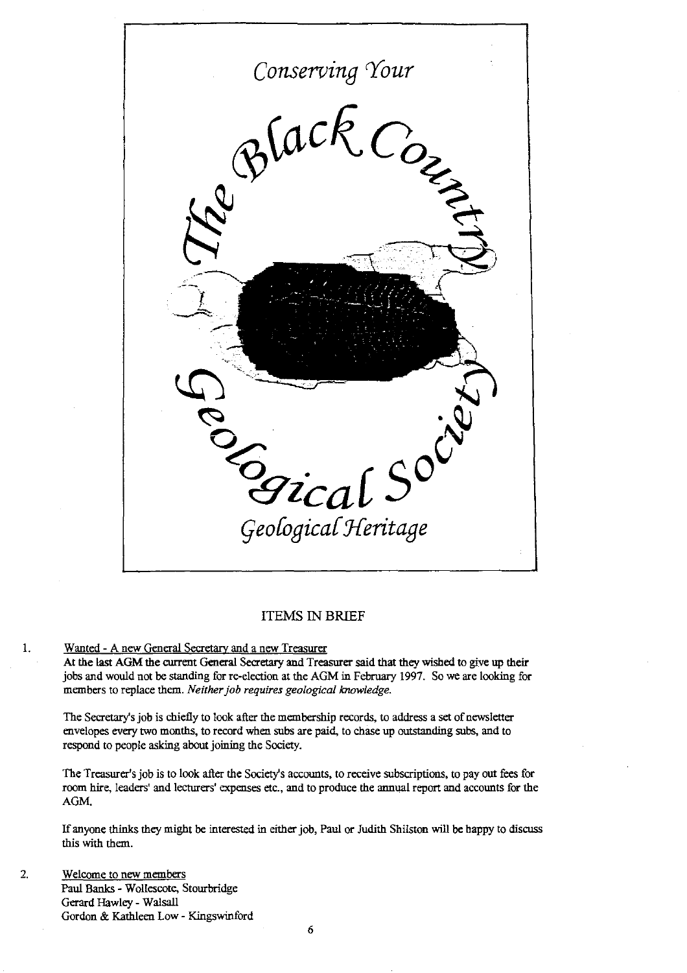

#### ITEMS IN BRIEF

# Wanted - A new General Secretary and a new Treasurer

1.

At the last AGM the current General Secretary and Treasurer said that they wished to give up their jobs and would not be standing for re-election at the AGM in Februa**ry** 1997. So we are looking for members to replace them. *Neither job requires geological knowledge.*

The Secretary's job is chiefly to look after the membership records, to address a set of newsletter envelopes every two months, to record when subs are paid, to chase up outstanding subs, and to respond to people asking about joining the Society.

**The** Treasurer's job is to look after the Society's accounts, to receive subscriptions, to pay out fees for room hire, leaders' and lecturers' expenses etc., and to produce the annual report and accounts for the AGM.

If anyone thinks they might **be** interested in either job, Paul or Judith Shilston will be happy to discuss this with them.

#### 2. Welcome to new members Paul Banks - Wolicscote, Stourbridge Gerard Hawley - Walsall Gordon & Kathleen Low - Kingswinford